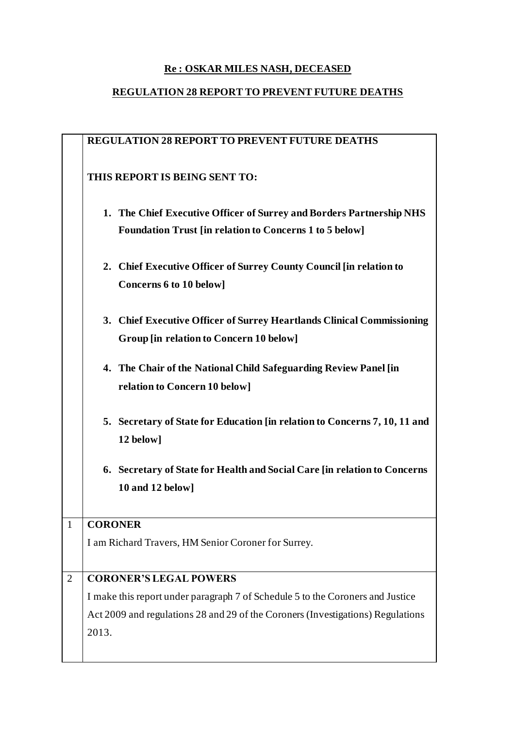### **Re : OSKAR MILES NASH, DECEASED**

# **REGULATION 28 REPORT TO PREVENT FUTURE DEATHS**

|                | <b>REGULATION 28 REPORT TO PREVENT FUTURE DEATHS</b>                                                                                   |
|----------------|----------------------------------------------------------------------------------------------------------------------------------------|
|                | THIS REPORT IS BEING SENT TO:                                                                                                          |
|                | 1. The Chief Executive Officer of Surrey and Borders Partnership NHS<br><b>Foundation Trust [in relation to Concerns 1 to 5 below]</b> |
|                | 2. Chief Executive Officer of Surrey County Council [in relation to<br><b>Concerns 6 to 10 below]</b>                                  |
|                | 3. Chief Executive Officer of Surrey Heartlands Clinical Commissioning<br>Group [in relation to Concern 10 below]                      |
|                | 4. The Chair of the National Child Safeguarding Review Panel [in<br>relation to Concern 10 below]                                      |
|                | 5. Secretary of State for Education [in relation to Concerns 7, 10, 11 and<br>12 below]                                                |
|                | 6. Secretary of State for Health and Social Care [in relation to Concerns<br>10 and 12 below]                                          |
| 1              | <b>CORONER</b><br>I am Richard Travers, HM Senior Coroner for Surrey.                                                                  |
|                |                                                                                                                                        |
| $\overline{2}$ | <b>CORONER'S LEGAL POWERS</b>                                                                                                          |
|                | I make this report under paragraph 7 of Schedule 5 to the Coroners and Justice                                                         |
|                | Act 2009 and regulations 28 and 29 of the Coroners (Investigations) Regulations                                                        |
|                | 2013.                                                                                                                                  |
|                |                                                                                                                                        |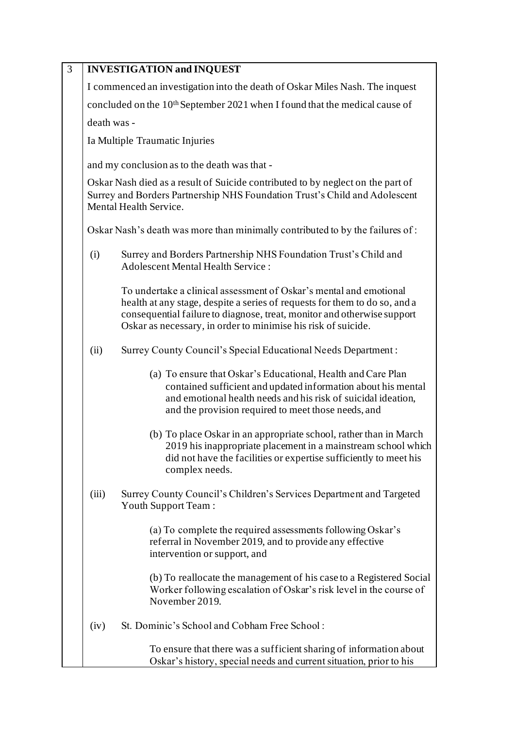| $\overline{3}$ |             | <b>INVESTIGATION and INQUEST</b>                                                                                                                                                                                                                                                             |
|----------------|-------------|----------------------------------------------------------------------------------------------------------------------------------------------------------------------------------------------------------------------------------------------------------------------------------------------|
|                |             | I commenced an investigation into the death of Oskar Miles Nash. The inquest                                                                                                                                                                                                                 |
|                |             | concluded on the 10 <sup>th</sup> September 2021 when I found that the medical cause of                                                                                                                                                                                                      |
|                | death was - |                                                                                                                                                                                                                                                                                              |
|                |             | Ia Multiple Traumatic Injuries                                                                                                                                                                                                                                                               |
|                |             | and my conclusion as to the death was that -                                                                                                                                                                                                                                                 |
|                |             | Oskar Nash died as a result of Suicide contributed to by neglect on the part of<br>Surrey and Borders Partnership NHS Foundation Trust's Child and Adolescent<br>Mental Health Service.                                                                                                      |
|                |             | Oskar Nash's death was more than minimally contributed to by the failures of:                                                                                                                                                                                                                |
|                | (i)         | Surrey and Borders Partnership NHS Foundation Trust's Child and<br><b>Adolescent Mental Health Service:</b>                                                                                                                                                                                  |
|                |             | To undertake a clinical assessment of Oskar's mental and emotional<br>health at any stage, despite a series of requests for them to do so, and a<br>consequential failure to diagnose, treat, monitor and otherwise support<br>Oskar as necessary, in order to minimise his risk of suicide. |
|                | (ii)        | Surrey County Council's Special Educational Needs Department:                                                                                                                                                                                                                                |
|                |             | (a) To ensure that Oskar's Educational, Health and Care Plan<br>contained sufficient and updated information about his mental<br>and emotional health needs and his risk of suicidal ideation,<br>and the provision required to meet those needs, and                                        |
|                |             | (b) To place Oskar in an appropriate school, rather than in March<br>2019 his inappropriate placement in a mainstream school which<br>did not have the facilities or expertise sufficiently to meet his<br>complex needs.                                                                    |
|                | (iii)       | Surrey County Council's Children's Services Department and Targeted<br>Youth Support Team:                                                                                                                                                                                                   |
|                |             | (a) To complete the required assessments following Oskar's<br>referral in November 2019, and to provide any effective<br>intervention or support, and                                                                                                                                        |
|                |             | (b) To reallocate the management of his case to a Registered Social<br>Worker following escalation of Oskar's risk level in the course of<br>November 2019.                                                                                                                                  |
|                | (iv)        | St. Dominic's School and Cobham Free School:                                                                                                                                                                                                                                                 |
|                |             | To ensure that there was a sufficient sharing of information about<br>Oskar's history, special needs and current situation, prior to his                                                                                                                                                     |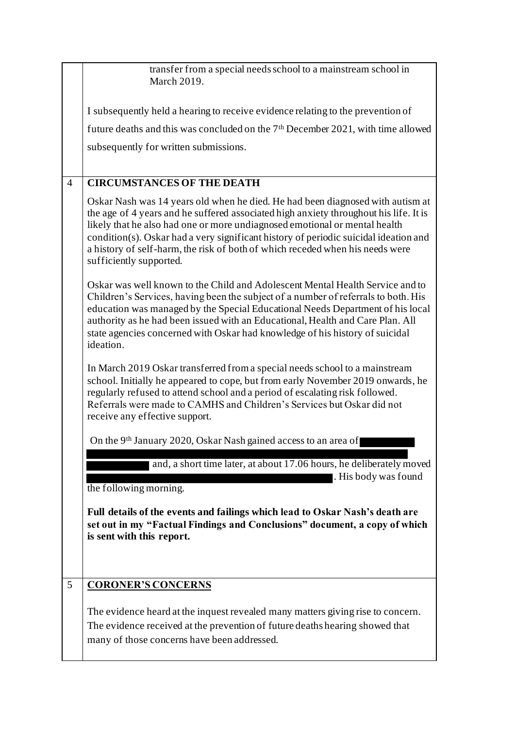|                | transfer from a special needs school to a mainstream school in<br>March 2019.                                                                                                                                                                                                                                                                                                                                                                             |
|----------------|-----------------------------------------------------------------------------------------------------------------------------------------------------------------------------------------------------------------------------------------------------------------------------------------------------------------------------------------------------------------------------------------------------------------------------------------------------------|
|                | I subsequently held a hearing to receive evidence relating to the prevention of                                                                                                                                                                                                                                                                                                                                                                           |
|                | future deaths and this was concluded on the 7 <sup>th</sup> December 2021, with time allowed                                                                                                                                                                                                                                                                                                                                                              |
|                | subsequently for written submissions.                                                                                                                                                                                                                                                                                                                                                                                                                     |
|                |                                                                                                                                                                                                                                                                                                                                                                                                                                                           |
| $\overline{4}$ | <b>CIRCUMSTANCES OF THE DEATH</b>                                                                                                                                                                                                                                                                                                                                                                                                                         |
|                | Oskar Nash was 14 years old when he died. He had been diagnosed with autism at<br>the age of 4 years and he suffered associated high anxiety throughout his life. It is<br>likely that he also had one or more undiagnosed emotional or mental health<br>condition(s). Oskar had a very significant history of periodic suicidal ideation and<br>a history of self-harm, the risk of both of which receded when his needs were<br>sufficiently supported. |
|                | Oskar was well known to the Child and Adolescent Mental Health Service and to<br>Children's Services, having been the subject of a number of referrals to both. His<br>education was managed by the Special Educational Needs Department of his local<br>authority as he had been issued with an Educational, Health and Care Plan. All<br>state agencies concerned with Oskar had knowledge of his history of suicidal<br>ideation.                      |
|                | In March 2019 Oskar transferred from a special needs school to a mainstream<br>school. Initially he appeared to cope, but from early November 2019 onwards, he<br>regularly refused to attend school and a period of escalating risk followed.<br>Referrals were made to CAMHS and Children's Services but Oskar did not<br>receive any effective support.                                                                                                |
|                | On the 9 <sup>th</sup> January 2020, Oskar Nash gained access to an area of                                                                                                                                                                                                                                                                                                                                                                               |
|                | and, a short time later, at about 17.06 hours, he deliberately moved                                                                                                                                                                                                                                                                                                                                                                                      |
|                | . His body was found<br>the following morning.                                                                                                                                                                                                                                                                                                                                                                                                            |
|                | Full details of the events and failings which lead to Oskar Nash's death are<br>set out in my "Factual Findings and Conclusions" document, a copy of which<br>is sent with this report.                                                                                                                                                                                                                                                                   |
| 5              | <b>CORONER'S CONCERNS</b>                                                                                                                                                                                                                                                                                                                                                                                                                                 |
|                | The evidence heard at the inquest revealed many matters giving rise to concern.<br>The evidence received at the prevention of future deaths hearing showed that                                                                                                                                                                                                                                                                                           |
|                | many of those concerns have been addressed.                                                                                                                                                                                                                                                                                                                                                                                                               |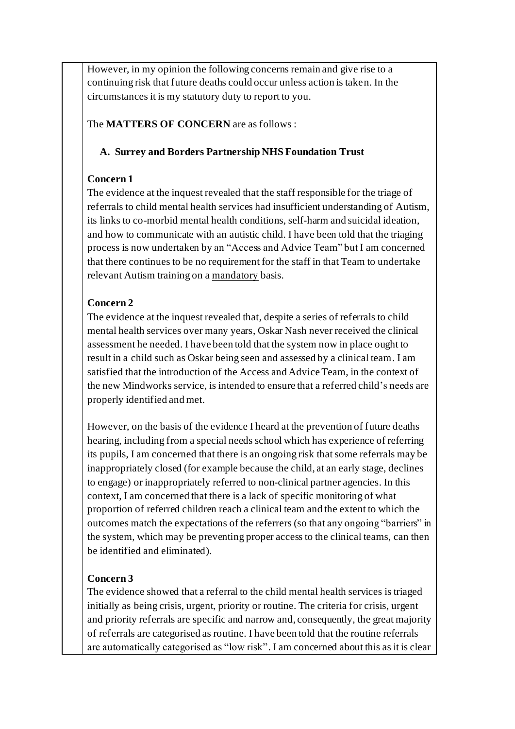However, in my opinion the following concerns remain and give rise to a continuing risk that future deaths could occur unless action is taken. In the circumstances it is my statutory duty to report to you.

The **MATTERS OF CONCERN** are as follows :

## **A. Surrey and Borders Partnership NHS Foundation Trust**

## **Concern 1**

The evidence at the inquest revealed that the staff responsible for the triage of referrals to child mental health services had insufficient understanding of Autism, its links to co-morbid mental health conditions, self-harm and suicidal ideation, and how to communicate with an autistic child. I have been told that the triaging process is now undertaken by an "Access and Advice Team" but I am concerned that there continues to be no requirement for the staff in that Team to undertake relevant Autism training on a mandatory basis.

# **Concern 2**

The evidence at the inquest revealed that, despite a series of referrals to child mental health services over many years, Oskar Nash never received the clinical assessment he needed. I have been told that the system now in place ought to result in a child such as Oskar being seen and assessed by a clinical team. I am satisfied that the introduction of the Access and Advice Team, in the context of the new Mindworks service, is intended to ensure that a referred child's needs are properly identified and met.

However, on the basis of the evidence I heard at the prevention of future deaths hearing, including from a special needs school which has experience of referring its pupils, I am concerned that there is an ongoing risk that some referrals may be inappropriately closed (for example because the child, at an early stage, declines to engage) or inappropriately referred to non-clinical partner agencies. In this context, I am concerned that there is a lack of specific monitoring of what proportion of referred children reach a clinical team and the extent to which the outcomes match the expectations of the referrers (so that any ongoing "barriers" in the system, which may be preventing proper access to the clinical teams, can then be identified and eliminated).

# **Concern 3**

The evidence showed that a referral to the child mental health services is triaged initially as being crisis, urgent, priority or routine. The criteria for crisis, urgent and priority referrals are specific and narrow and, consequently, the great majority of referrals are categorised as routine. I have been told that the routine referrals are automatically categorised as "low risk". I am concerned about this as it is clear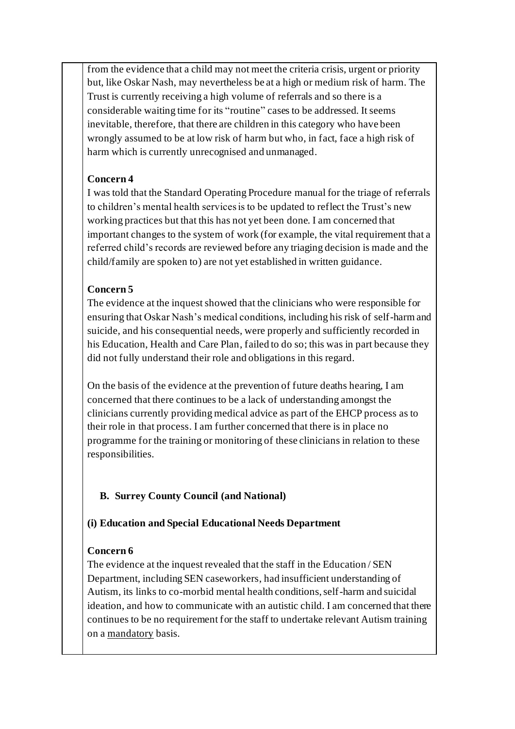from the evidence that a child may not meet the criteria crisis, urgent or priority but, like Oskar Nash, may nevertheless be at a high or medium risk of harm. The Trust is currently receiving a high volume of referrals and so there is a considerable waiting time for its "routine" cases to be addressed. It seems inevitable, therefore, that there are children in this category who have been wrongly assumed to be at low risk of harm but who, in fact, face a high risk of harm which is currently unrecognised and unmanaged.

## **Concern 4**

I was told that the Standard Operating Procedure manual for the triage of referrals to children's mental health services is to be updated to reflect the Trust's new working practices but that this has not yet been done. I am concerned that important changes to the system of work (for example, the vital requirement that a referred child's records are reviewed before any triaging decision is made and the child/family are spoken to) are not yet established in written guidance.

## **Concern 5**

The evidence at the inquest showed that the clinicians who were responsible for ensuring that Oskar Nash's medical conditions, including his risk of self-harm and suicide, and his consequential needs, were properly and sufficiently recorded in his Education, Health and Care Plan, failed to do so; this was in part because they did not fully understand their role and obligations in this regard.

On the basis of the evidence at the prevention of future deaths hearing, I am concerned that there continues to be a lack of understanding amongst the clinicians currently providing medical advice as part of the EHCP process as to their role in that process. I am further concerned that there is in place no programme for the training or monitoring of these clinicians in relation to these responsibilities.

# **B. Surrey County Council (and National)**

#### **(i) Education and Special Educational Needs Department**

#### **Concern 6**

The evidence at the inquest revealed that the staff in the Education / SEN Department, including SEN caseworkers, had insufficient understanding of Autism, its links to co-morbid mental health conditions, self-harm and suicidal ideation, and how to communicate with an autistic child. I am concerned that there continues to be no requirement for the staff to undertake relevant Autism training on a mandatory basis.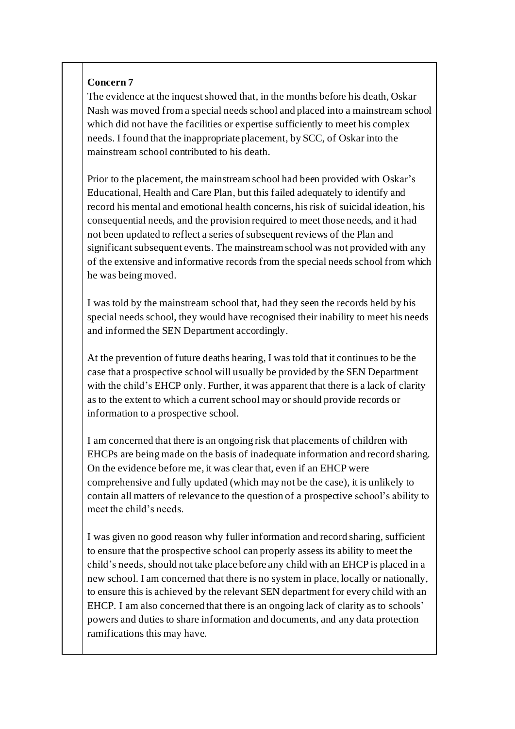#### **Concern 7**

The evidence at the inquest showed that, in the months before his death, Oskar Nash was moved from a special needs school and placed into a mainstream school which did not have the facilities or expertise sufficiently to meet his complex needs. I found that the inappropriate placement, by SCC, of Oskar into the mainstream school contributed to his death.

Prior to the placement, the mainstream school had been provided with Oskar's Educational, Health and Care Plan, but this failed adequately to identify and record his mental and emotional health concerns, his risk of suicidal ideation, his consequential needs, and the provision required to meet those needs, and it had not been updated to reflect a series of subsequent reviews of the Plan and significant subsequent events. The mainstream school was not provided with any of the extensive and informative records from the special needs school from which he was being moved.

I was told by the mainstream school that, had they seen the records held by his special needs school, they would have recognised their inability to meet his needs and informed the SEN Department accordingly.

At the prevention of future deaths hearing, I was told that it continues to be the case that a prospective school will usually be provided by the SEN Department with the child's EHCP only. Further, it was apparent that there is a lack of clarity as to the extent to which a current school may or should provide records or information to a prospective school.

I am concerned that there is an ongoing risk that placements of children with EHCPs are being made on the basis of inadequate information and record sharing. On the evidence before me, it was clear that, even if an EHCP were comprehensive and fully updated (which may not be the case), it is unlikely to contain all matters of relevance to the question of a prospective school's ability to meet the child's needs.

I was given no good reason why fuller information and record sharing, sufficient to ensure that the prospective school can properly assess its ability to meet the child's needs, should not take place before any child with an EHCP is placed in a new school. I am concerned that there is no system in place, locally or nationally, to ensure this is achieved by the relevant SEN department for every child with an EHCP. I am also concerned that there is an ongoing lack of clarity as to schools' powers and duties to share information and documents, and any data protection ramifications this may have.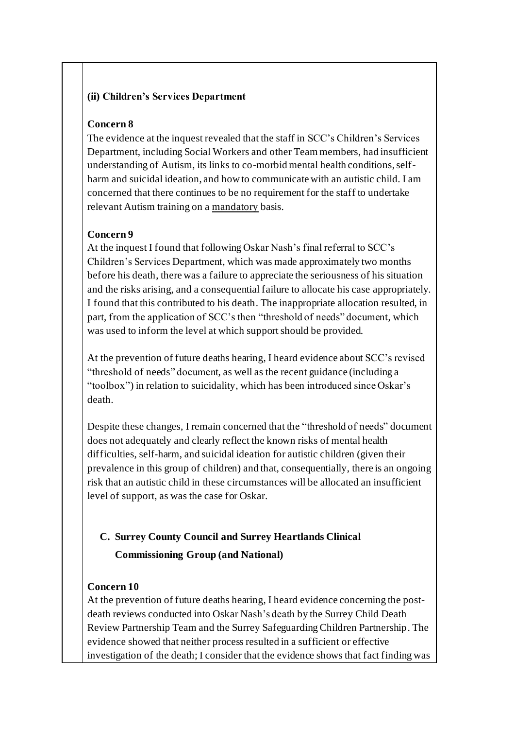#### **(ii) Children's Services Department**

#### **Concern 8**

The evidence at the inquest revealed that the staff in SCC's Children's Services Department, including Social Workers and other Team members, had insufficient understanding of Autism, its links to co-morbid mental health conditions, selfharm and suicidal ideation, and how to communicate with an autistic child. I am concerned that there continues to be no requirement for the staff to undertake relevant Autism training on a mandatory basis.

#### **Concern 9**

At the inquest I found that following Oskar Nash's final referral to SCC's Children's Services Department, which was made approximately two months before his death, there was a failure to appreciate the seriousness of his situation and the risks arising, and a consequential failure to allocate his case appropriately. I found that this contributed to his death. The inappropriate allocation resulted, in part, from the application of SCC's then "threshold of needs" document, which was used to inform the level at which support should be provided.

At the prevention of future deaths hearing, I heard evidence about SCC's revised "threshold of needs" document, as well as the recent guidance (including a "toolbox") in relation to suicidality, which has been introduced since Oskar's death.

Despite these changes, I remain concerned that the "threshold of needs" document does not adequately and clearly reflect the known risks of mental health difficulties, self-harm, and suicidal ideation for autistic children (given their prevalence in this group of children) and that, consequentially, there is an ongoing risk that an autistic child in these circumstances will be allocated an insufficient level of support, as was the case for Oskar.

# **C. Surrey County Council and Surrey Heartlands Clinical Commissioning Group (and National)**

#### **Concern 10**

At the prevention of future deaths hearing, I heard evidence concerning the postdeath reviews conducted into Oskar Nash's death by the Surrey Child Death Review Partnership Team and the Surrey Safeguarding Children Partnership. The evidence showed that neither process resulted in a sufficient or effective investigation of the death; I consider that the evidence shows that fact finding was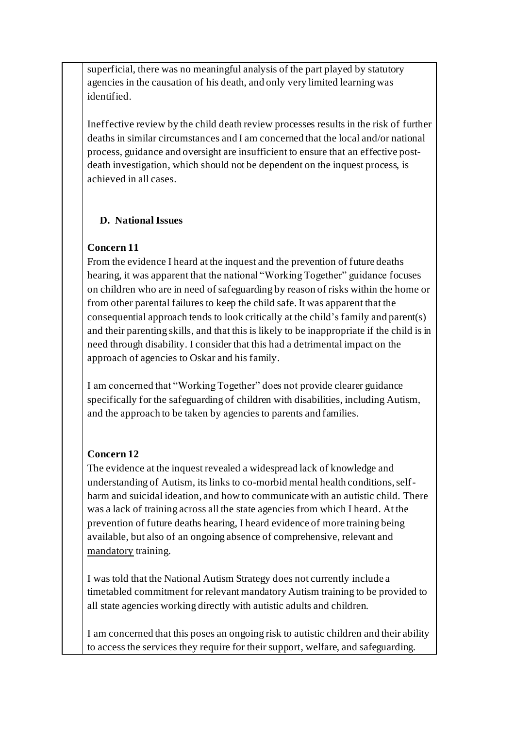superficial, there was no meaningful analysis of the part played by statutory agencies in the causation of his death, and only very limited learning was identified.

Ineffective review by the child death review processes results in the risk of further deaths in similar circumstances and I am concerned that the local and/or national process, guidance and oversight are insufficient to ensure that an effective postdeath investigation, which should not be dependent on the inquest process, is achieved in all cases.

## **D. National Issues**

# **Concern 11**

From the evidence I heard at the inquest and the prevention of future deaths hearing, it was apparent that the national "Working Together" guidance focuses on children who are in need of safeguarding by reason of risks within the home or from other parental failures to keep the child safe. It was apparent that the consequential approach tends to look critically at the child's family and parent(s) and their parenting skills, and that this is likely to be inappropriate if the child is in need through disability. I consider that this had a detrimental impact on the approach of agencies to Oskar and his family.

I am concerned that "Working Together" does not provide clearer guidance specifically for the safeguarding of children with disabilities, including Autism, and the approach to be taken by agencies to parents and families.

#### **Concern 12**

The evidence at the inquest revealed a widespread lack of knowledge and understanding of Autism, its links to co-morbid mental health conditions, selfharm and suicidal ideation, and how to communicate with an autistic child. There was a lack of training across all the state agencies from which I heard. At the prevention of future deaths hearing, I heard evidence of more training being available, but also of an ongoing absence of comprehensive, relevant and mandatory training.

I was told that the National Autism Strategy does not currently include a timetabled commitment for relevant mandatory Autism training to be provided to all state agencies working directly with autistic adults and children.

I am concerned that this poses an ongoing risk to autistic children and their ability to access the services they require for their support, welfare, and safeguarding.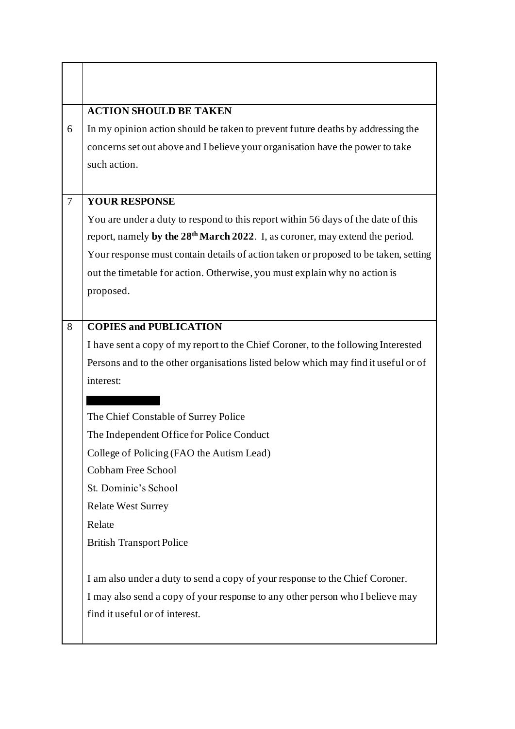|                | <b>ACTION SHOULD BE TAKEN</b>                                                            |
|----------------|------------------------------------------------------------------------------------------|
| 6              | In my opinion action should be taken to prevent future deaths by addressing the          |
|                | concerns set out above and I believe your organisation have the power to take            |
|                | such action.                                                                             |
|                |                                                                                          |
| $\overline{7}$ | <b>YOUR RESPONSE</b>                                                                     |
|                | You are under a duty to respond to this report within 56 days of the date of this        |
|                | report, namely by the 28 <sup>th</sup> March 2022. I, as coroner, may extend the period. |
|                | Your response must contain details of action taken or proposed to be taken, setting      |
|                | out the timetable for action. Otherwise, you must explain why no action is               |
|                | proposed.                                                                                |
|                |                                                                                          |
| 8              | <b>COPIES and PUBLICATION</b>                                                            |
|                | I have sent a copy of my report to the Chief Coroner, to the following Interested        |
|                | Persons and to the other organisations listed below which may find it useful or of       |
|                | interest:                                                                                |
|                |                                                                                          |
|                | The Chief Constable of Surrey Police                                                     |
|                | The Independent Office for Police Conduct                                                |
|                | College of Policing (FAO the Autism Lead)                                                |
|                | <b>Cobham Free School</b>                                                                |
|                | St. Dominic's School                                                                     |
|                | <b>Relate West Surrey</b>                                                                |
|                | Relate                                                                                   |
|                | <b>British Transport Police</b>                                                          |
|                | I am also under a duty to send a copy of your response to the Chief Coroner.             |
|                | I may also send a copy of your response to any other person who I believe may            |
|                | find it useful or of interest.                                                           |
|                |                                                                                          |